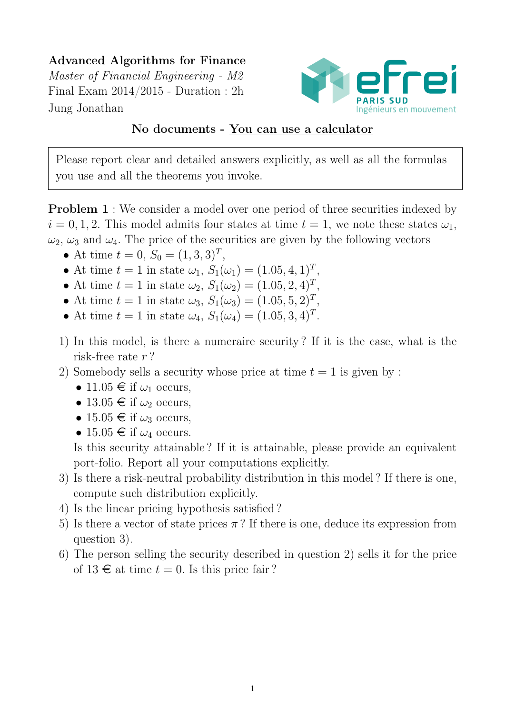# Advanced Algorithms for Finance

Master of Financial Engineering - M2 Final Exam 2014/2015 - Duration : 2h Jung Jonathan



### No documents - You can use a calculator

Please report clear and detailed answers explicitly, as well as all the formulas you use and all the theorems you invoke.

**Problem 1** : We consider a model over one period of three securities indexed by  $i = 0, 1, 2$ . This model admits four states at time  $t = 1$ , we note these states  $\omega_1$ ,  $\omega_2$ ,  $\omega_3$  and  $\omega_4$ . The price of the securities are given by the following vectors

- At time  $t = 0, S_0 = (1, 3, 3)^T$ ,
- At time  $t = 1$  in state  $\omega_1$ ,  $S_1(\omega_1) = (1.05, 4, 1)^T$ ,
- At time  $t = 1$  in state  $\omega_2$ ,  $S_1(\omega_2) = (1.05, 2, 4)^T$ ,
- At time  $t = 1$  in state  $\omega_3$ ,  $S_1(\omega_3) = (1.05, 5, 2)^T$ ,
- At time  $t = 1$  in state  $\omega_4$ ,  $S_1(\omega_4) = (1.05, 3, 4)^T$ .
- 1) In this model, is there a numeraire security ? If it is the case, what is the risk-free rate r ?
- 2) Somebody sells a security whose price at time  $t = 1$  is given by:
	- 11.05  $\in$  if  $\omega_1$  occurs,
	- 13.05  $\in$  if  $\omega_2$  occurs,
	- 15.05  $\in$  if  $\omega_3$  occurs,
	- 15.05  $\in$  if  $\omega_4$  occurs.

Is this security attainable ? If it is attainable, please provide an equivalent port-folio. Report all your computations explicitly.

- 3) Is there a risk-neutral probability distribution in this model ? If there is one, compute such distribution explicitly.
- 4) Is the linear pricing hypothesis satisfied ?
- 5) Is there a vector of state prices  $\pi$ ? If there is one, deduce its expression from question 3).
- 6) The person selling the security described in question 2) sells it for the price of  $13 \in \mathfrak{a}$  time  $t = 0$ . Is this price fair?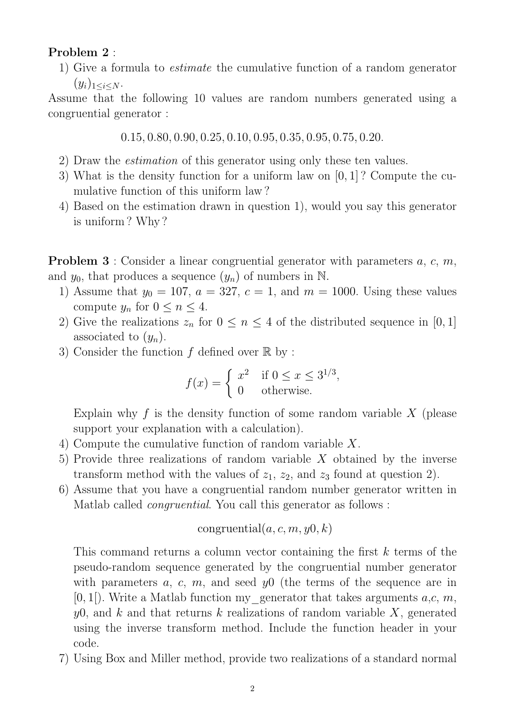#### Problem 2 :

1) Give a formula to estimate the cumulative function of a random generator  $(y_i)_{1 \leq i \leq N}$ .

Assume that the following 10 values are random numbers generated using a congruential generator :

0.15, 0.80, 0.90, 0.25, 0.10, 0.95, 0.35, 0.95, 0.75, 0.20.

- 2) Draw the estimation of this generator using only these ten values.
- 3) What is the density function for a uniform law on [0, 1] ? Compute the cumulative function of this uniform law ?
- 4) Based on the estimation drawn in question 1), would you say this generator is uniform ? Why ?

**Problem 3** : Consider a linear congruential generator with parameters  $a, c, m$ , and  $y_0$ , that produces a sequence  $(y_n)$  of numbers in N.

- 1) Assume that  $y_0 = 107$ ,  $a = 327$ ,  $c = 1$ , and  $m = 1000$ . Using these values compute  $y_n$  for  $0 \leq n \leq 4$ .
- 2) Give the realizations  $z_n$  for  $0 \le n \le 4$  of the distributed sequence in [0, 1] associated to  $(y_n)$ .
- 3) Consider the function f defined over  $\mathbb R$  by:

$$
f(x) = \begin{cases} x^2 & \text{if } 0 \le x \le 3^{1/3}, \\ 0 & \text{otherwise.} \end{cases}
$$

Explain why f is the density function of some random variable  $X$  (please support your explanation with a calculation).

- 4) Compute the cumulative function of random variable X.
- 5) Provide three realizations of random variable X obtained by the inverse transform method with the values of  $z_1$ ,  $z_2$ , and  $z_3$  found at question 2).
- 6) Assume that you have a congruential random number generator written in Matlab called *congruential*. You call this generator as follows :

congruential
$$
(a, c, m, y0, k)
$$

This command returns a column vector containing the first k terms of the pseudo-random sequence generated by the congruential number generator with parameters a, c, m, and seed  $y0$  (the terms of the sequence are in  $[0, 1]$ . Write a Matlab function my generator that takes arguments a,c, m,  $y0$ , and k and that returns k realizations of random variable X, generated using the inverse transform method. Include the function header in your code.

7) Using Box and Miller method, provide two realizations of a standard normal